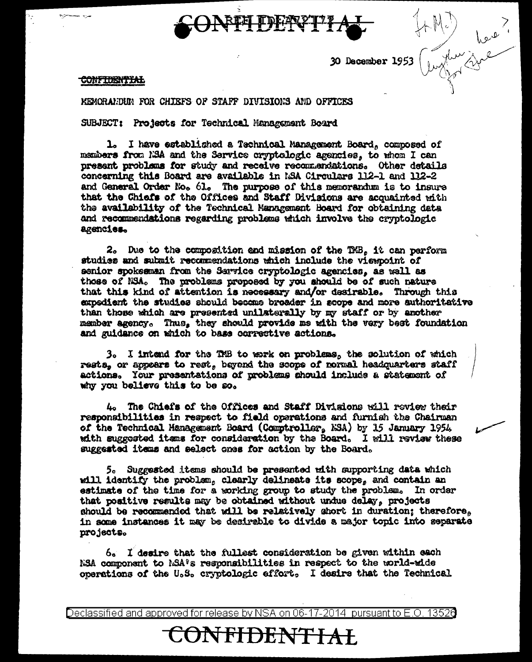30 December 1953  $\frac{1}{2}$ 

## **CONFIDENTIAL**

MEMORALIDUM FOR CHIEFS OF STAFF DIVISIONS AND OFFICES

SUBJECT: Projects for Technical Management Board

1. I have established a Technical Management Board, composed of members from N3A and the Service oryptologic agencies, to whom I can present problems for study and receive recommendations. Other details concerning this Board are available in MSA Circulars 112-1 and 112-2 and General Order No. 61. The purpose of this memorandum is to insure that the Chiefs of the Offices and Staff Divisions are acquainted with the availability of the Technical Management Board for obtaining data and recommendations regarding problems which involve the cryptologic agencies.

2. Due to the composition and mission of the TMB. it can perform studies and submit recommendations which include the viewpoint of senior spokesman from the Sarvice cryptologic agencies, as well as those of NSA. The problems proposed by you should be of such nature that this kind of attention is necessary and/or desirable. Through this expedient the studies should became broader in scope and more authoritative than those which are presented unlisterally by my staff or by another member agency. Thus, they should provide me with the very best foundation and guidance on which to base corrective actions.

3. I intend for the THB to work on problems, the solution of which rests, or appears to rest, beyond the scope of normal headquarters staff actions. Your presentations of problems should include a statement of why you believe this to be so.

4. The Chiefs of the Offices and Staff Divisions will review their responsibilities in respect to field operations and furnish the Chairman of the Technical Hanagement Board (Comptroller, NSA) by 15 January 1954. with suggested items for consideration by the Board. I will review these suggested items and select ones for action by the Board.

5. Suggested items should be presented with supporting data which will identify the problem, clearly delineate its scope, and contain an estimate of the time for a working group to study the problem. In order that positive results may be obtained without undue delay, projects should be recommended that will be relatively short in duration; therefore. in some instances it may be desirable to divide a major topic into separate projects.

6. I desire that the fullest consideration be given within each NSA commonent to NSA®s responsibilities in respect to the world-wide operations of the U.S. cryptologic effort. I desire that the Technical

Declassified and approved for release by NSA on 06-17-2014 pursuant to E.O. 13526

ONF<del>IDENTIAL</del>